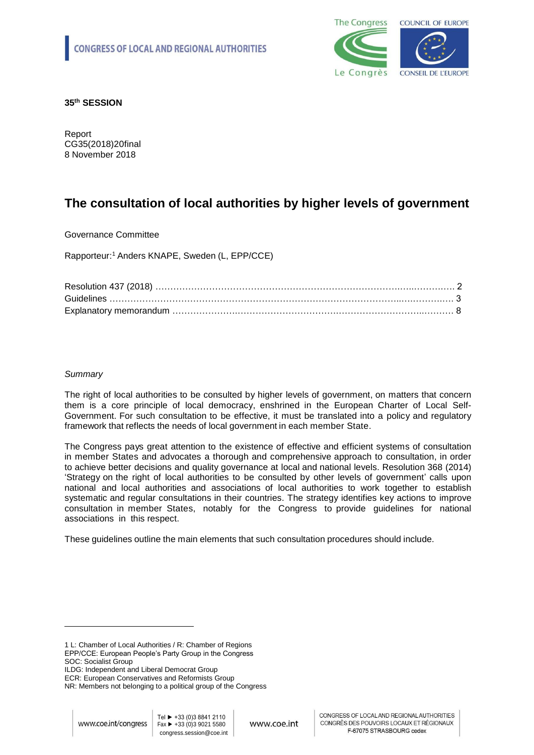

**35th SESSION**

Report CG35(2018)20final 8 November 2018

# **The consultation of local authorities by higher levels of government**

Governance Committee

Rapporteur: <sup>1</sup> Anders KNAPE, Sweden (L, EPP/CCE)

## *Summary*

The right of local authorities to be consulted by higher levels of government, on matters that concern them is a core principle of local democracy, enshrined in the European Charter of Local Self-Government. For such consultation to be effective, it must be translated into a policy and regulatory framework that reflects the needs of local government in each member State.

The Congress pays great attention to the existence of effective and efficient systems of consultation in member States and advocates a thorough and comprehensive approach to consultation, in order to achieve better decisions and quality governance at local and national levels. Resolution 368 (2014) 'Strategy on the right of local authorities to be consulted by other levels of government' calls upon national and local authorities and associations of local authorities to work together to establish systematic and regular consultations in their countries. The strategy identifies key actions to improve consultation in member States, notably for the Congress to provide guidelines for national associations in this respect.

These guidelines outline the main elements that such consultation procedures should include.

1

<sup>1</sup> L: Chamber of Local Authorities / R: Chamber of Regions EPP/CCE: European People's Party Group in the Congress SOC: Socialist Group

ILDG: Independent and Liberal Democrat Group

ECR: European Conservatives and Reformists Group

NR: Members not belonging to a political group of the Congress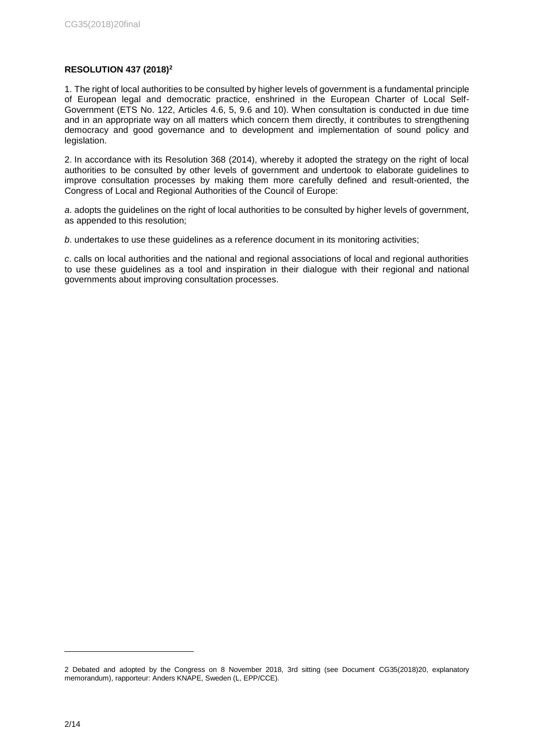# **RESOLUTION 437 (2018)<sup>2</sup>**

1. The right of local authorities to be consulted by higher levels of government is a fundamental principle of European legal and democratic practice, enshrined in the European Charter of Local Self-Government (ETS No. 122, Articles 4.6, 5, 9.6 and 10). When consultation is conducted in due time and in an appropriate way on all matters which concern them directly, it contributes to strengthening democracy and good governance and to development and implementation of sound policy and legislation.

2. In accordance with its Resolution 368 (2014), whereby it adopted the strategy on the right of local authorities to be consulted by other levels of government and undertook to elaborate guidelines to improve consultation processes by making them more carefully defined and result-oriented, the Congress of Local and Regional Authorities of the Council of Europe:

*a*. adopts the guidelines on the right of local authorities to be consulted by higher levels of government, as appended to this resolution;

*b*. undertakes to use these guidelines as a reference document in its monitoring activities;

*c*. calls on local authorities and the national and regional associations of local and regional authorities to use these guidelines as a tool and inspiration in their dialogue with their regional and national governments about improving consultation processes.

-

<sup>2</sup> Debated and adopted by the Congress on 8 November 2018, 3rd sitting (see Document CG35(2018)20, explanatory memorandum), rapporteur: Anders KNAPE, Sweden (L, EPP/CCE).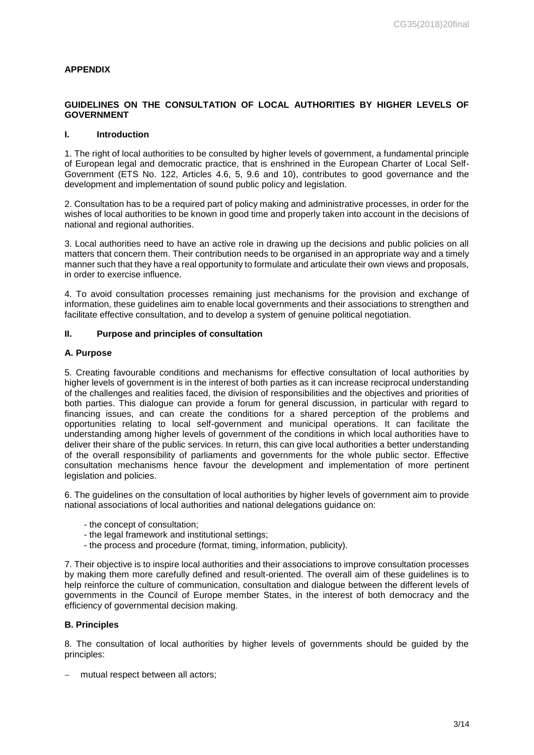## **APPENDIX**

# **GUIDELINES ON THE CONSULTATION OF LOCAL AUTHORITIES BY HIGHER LEVELS OF GOVERNMENT**

#### **I. Introduction**

1. The right of local authorities to be consulted by higher levels of government, a fundamental principle of European legal and democratic practice, that is enshrined in the European Charter of Local Self-Government (ETS No. 122, Articles 4.6, 5, 9.6 and 10), contributes to good governance and the development and implementation of sound public policy and legislation.

2. Consultation has to be a required part of policy making and administrative processes, in order for the wishes of local authorities to be known in good time and properly taken into account in the decisions of national and regional authorities.

3. Local authorities need to have an active role in drawing up the decisions and public policies on all matters that concern them. Their contribution needs to be organised in an appropriate way and a timely manner such that they have a real opportunity to formulate and articulate their own views and proposals, in order to exercise influence.

4. To avoid consultation processes remaining just mechanisms for the provision and exchange of information, these guidelines aim to enable local governments and their associations to strengthen and facilitate effective consultation, and to develop a system of genuine political negotiation.

## **II. Purpose and principles of consultation**

#### **A. Purpose**

5. Creating favourable conditions and mechanisms for effective consultation of local authorities by higher levels of government is in the interest of both parties as it can increase reciprocal understanding of the challenges and realities faced, the division of responsibilities and the objectives and priorities of both parties. This dialogue can provide a forum for general discussion, in particular with regard to financing issues, and can create the conditions for a shared perception of the problems and opportunities relating to local self-government and municipal operations. It can facilitate the understanding among higher levels of government of the conditions in which local authorities have to deliver their share of the public services. In return, this can give local authorities a better understanding of the overall responsibility of parliaments and governments for the whole public sector. Effective consultation mechanisms hence favour the development and implementation of more pertinent legislation and policies.

6. The guidelines on the consultation of local authorities by higher levels of government aim to provide national associations of local authorities and national delegations guidance on:

- the concept of consultation;
- the legal framework and institutional settings;
- the process and procedure (format, timing, information, publicity).

7. Their objective is to inspire local authorities and their associations to improve consultation processes by making them more carefully defined and result-oriented. The overall aim of these guidelines is to help reinforce the culture of communication, consultation and dialogue between the different levels of governments in the Council of Europe member States, in the interest of both democracy and the efficiency of governmental decision making.

## **B. Principles**

8. The consultation of local authorities by higher levels of governments should be guided by the principles:

- mutual respect between all actors;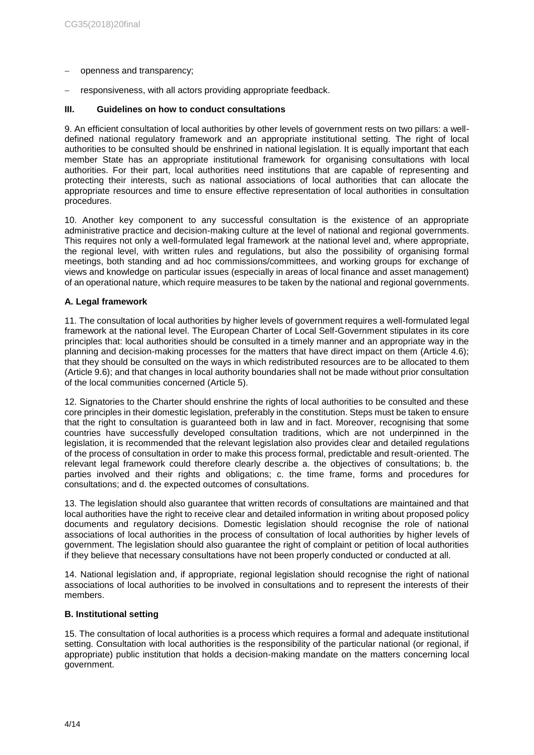- openness and transparency;
- responsiveness, with all actors providing appropriate feedback.

#### **III. Guidelines on how to conduct consultations**

9. An efficient consultation of local authorities by other levels of government rests on two pillars: a welldefined national regulatory framework and an appropriate institutional setting. The right of local authorities to be consulted should be enshrined in national legislation. It is equally important that each member State has an appropriate institutional framework for organising consultations with local authorities. For their part, local authorities need institutions that are capable of representing and protecting their interests, such as national associations of local authorities that can allocate the appropriate resources and time to ensure effective representation of local authorities in consultation procedures.

10. Another key component to any successful consultation is the existence of an appropriate administrative practice and decision-making culture at the level of national and regional governments. This requires not only a well-formulated legal framework at the national level and, where appropriate, the regional level, with written rules and regulations, but also the possibility of organising formal meetings, both standing and ad hoc commissions/committees, and working groups for exchange of views and knowledge on particular issues (especially in areas of local finance and asset management) of an operational nature, which require measures to be taken by the national and regional governments.

#### **A. Legal framework**

11. The consultation of local authorities by higher levels of government requires a well-formulated legal framework at the national level. The European Charter of Local Self-Government stipulates in its core principles that: local authorities should be consulted in a timely manner and an appropriate way in the planning and decision-making processes for the matters that have direct impact on them (Article 4.6); that they should be consulted on the ways in which redistributed resources are to be allocated to them (Article 9.6); and that changes in local authority boundaries shall not be made without prior consultation of the local communities concerned (Article 5).

12. Signatories to the Charter should enshrine the rights of local authorities to be consulted and these core principles in their domestic legislation, preferably in the constitution. Steps must be taken to ensure that the right to consultation is guaranteed both in law and in fact. Moreover, recognising that some countries have successfully developed consultation traditions, which are not underpinned in the legislation, it is recommended that the relevant legislation also provides clear and detailed regulations of the process of consultation in order to make this process formal, predictable and result-oriented. The relevant legal framework could therefore clearly describe a. the objectives of consultations; b. the parties involved and their rights and obligations; c. the time frame, forms and procedures for consultations; and d. the expected outcomes of consultations.

13. The legislation should also guarantee that written records of consultations are maintained and that local authorities have the right to receive clear and detailed information in writing about proposed policy documents and regulatory decisions. Domestic legislation should recognise the role of national associations of local authorities in the process of consultation of local authorities by higher levels of government. The legislation should also guarantee the right of complaint or petition of local authorities if they believe that necessary consultations have not been properly conducted or conducted at all.

14. National legislation and, if appropriate, regional legislation should recognise the right of national associations of local authorities to be involved in consultations and to represent the interests of their members.

#### **B. Institutional setting**

15. The consultation of local authorities is a process which requires a formal and adequate institutional setting. Consultation with local authorities is the responsibility of the particular national (or regional, if appropriate) public institution that holds a decision-making mandate on the matters concerning local government.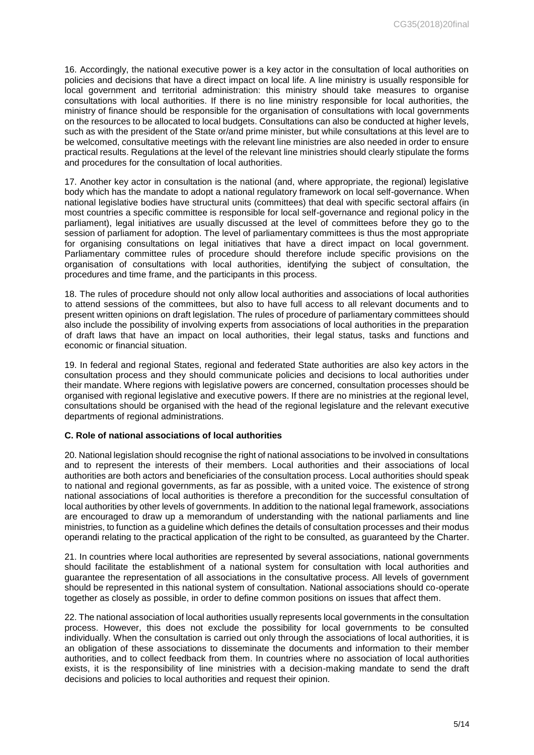16. Accordingly, the national executive power is a key actor in the consultation of local authorities on policies and decisions that have a direct impact on local life. A line ministry is usually responsible for local government and territorial administration: this ministry should take measures to organise consultations with local authorities. If there is no line ministry responsible for local authorities, the ministry of finance should be responsible for the organisation of consultations with local governments on the resources to be allocated to local budgets. Consultations can also be conducted at higher levels, such as with the president of the State or/and prime minister, but while consultations at this level are to be welcomed, consultative meetings with the relevant line ministries are also needed in order to ensure practical results. Regulations at the level of the relevant line ministries should clearly stipulate the forms and procedures for the consultation of local authorities.

17. Another key actor in consultation is the national (and, where appropriate, the regional) legislative body which has the mandate to adopt a national regulatory framework on local self-governance. When national legislative bodies have structural units (committees) that deal with specific sectoral affairs (in most countries a specific committee is responsible for local self-governance and regional policy in the parliament), legal initiatives are usually discussed at the level of committees before they go to the session of parliament for adoption. The level of parliamentary committees is thus the most appropriate for organising consultations on legal initiatives that have a direct impact on local government. Parliamentary committee rules of procedure should therefore include specific provisions on the organisation of consultations with local authorities, identifying the subject of consultation, the procedures and time frame, and the participants in this process.

18. The rules of procedure should not only allow local authorities and associations of local authorities to attend sessions of the committees, but also to have full access to all relevant documents and to present written opinions on draft legislation. The rules of procedure of parliamentary committees should also include the possibility of involving experts from associations of local authorities in the preparation of draft laws that have an impact on local authorities, their legal status, tasks and functions and economic or financial situation.

19. In federal and regional States, regional and federated State authorities are also key actors in the consultation process and they should communicate policies and decisions to local authorities under their mandate. Where regions with legislative powers are concerned, consultation processes should be organised with regional legislative and executive powers. If there are no ministries at the regional level, consultations should be organised with the head of the regional legislature and the relevant executive departments of regional administrations.

## **C. Role of national associations of local authorities**

20. National legislation should recognise the right of national associations to be involved in consultations and to represent the interests of their members. Local authorities and their associations of local authorities are both actors and beneficiaries of the consultation process. Local authorities should speak to national and regional governments, as far as possible, with a united voice. The existence of strong national associations of local authorities is therefore a precondition for the successful consultation of local authorities by other levels of governments. In addition to the national legal framework, associations are encouraged to draw up a memorandum of understanding with the national parliaments and line ministries, to function as a guideline which defines the details of consultation processes and their modus operandi relating to the practical application of the right to be consulted, as guaranteed by the Charter.

21. In countries where local authorities are represented by several associations, national governments should facilitate the establishment of a national system for consultation with local authorities and guarantee the representation of all associations in the consultative process. All levels of government should be represented in this national system of consultation. National associations should co-operate together as closely as possible, in order to define common positions on issues that affect them.

22. The national association of local authorities usually represents local governments in the consultation process. However, this does not exclude the possibility for local governments to be consulted individually. When the consultation is carried out only through the associations of local authorities, it is an obligation of these associations to disseminate the documents and information to their member authorities, and to collect feedback from them. In countries where no association of local authorities exists, it is the responsibility of line ministries with a decision-making mandate to send the draft decisions and policies to local authorities and request their opinion.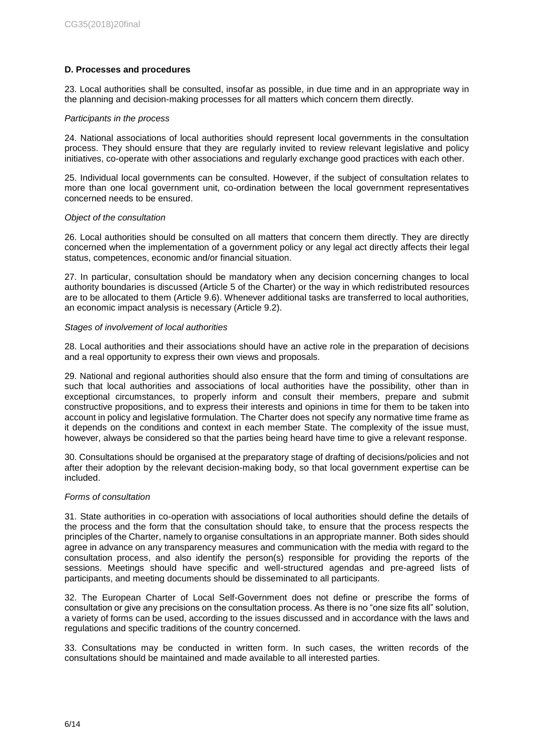## **D. Processes and procedures**

23. Local authorities shall be consulted, insofar as possible, in due time and in an appropriate way in the planning and decision-making processes for all matters which concern them directly.

#### *Participants in the process*

24. National associations of local authorities should represent local governments in the consultation process. They should ensure that they are regularly invited to review relevant legislative and policy initiatives, co-operate with other associations and regularly exchange good practices with each other.

25. Individual local governments can be consulted. However, if the subject of consultation relates to more than one local government unit, co-ordination between the local government representatives concerned needs to be ensured.

#### *Object of the consultation*

26. Local authorities should be consulted on all matters that concern them directly. They are directly concerned when the implementation of a government policy or any legal act directly affects their legal status, competences, economic and/or financial situation.

27. In particular, consultation should be mandatory when any decision concerning changes to local authority boundaries is discussed (Article 5 of the Charter) or the way in which redistributed resources are to be allocated to them (Article 9.6). Whenever additional tasks are transferred to local authorities, an economic impact analysis is necessary (Article 9.2).

#### *Stages of involvement of local authorities*

28. Local authorities and their associations should have an active role in the preparation of decisions and a real opportunity to express their own views and proposals.

29. National and regional authorities should also ensure that the form and timing of consultations are such that local authorities and associations of local authorities have the possibility, other than in exceptional circumstances, to properly inform and consult their members, prepare and submit constructive propositions, and to express their interests and opinions in time for them to be taken into account in policy and legislative formulation. The Charter does not specify any normative time frame as it depends on the conditions and context in each member State. The complexity of the issue must, however, always be considered so that the parties being heard have time to give a relevant response.

30. Consultations should be organised at the preparatory stage of drafting of decisions/policies and not after their adoption by the relevant decision-making body, so that local government expertise can be included.

# *Forms of consultation*

31. State authorities in co-operation with associations of local authorities should define the details of the process and the form that the consultation should take, to ensure that the process respects the principles of the Charter, namely to organise consultations in an appropriate manner. Both sides should agree in advance on any transparency measures and communication with the media with regard to the consultation process, and also identify the person(s) responsible for providing the reports of the sessions. Meetings should have specific and well-structured agendas and pre-agreed lists of participants, and meeting documents should be disseminated to all participants.

32. The European Charter of Local Self-Government does not define or prescribe the forms of consultation or give any precisions on the consultation process. As there is no "one size fits all" solution, a variety of forms can be used, according to the issues discussed and in accordance with the laws and regulations and specific traditions of the country concerned.

33. Consultations may be conducted in written form. In such cases, the written records of the consultations should be maintained and made available to all interested parties.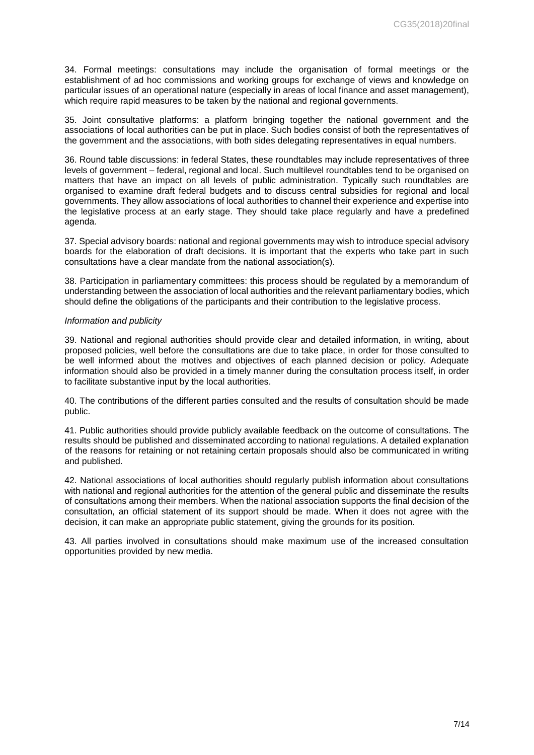34. Formal meetings: consultations may include the organisation of formal meetings or the establishment of ad hoc commissions and working groups for exchange of views and knowledge on particular issues of an operational nature (especially in areas of local finance and asset management), which require rapid measures to be taken by the national and regional governments.

35. Joint consultative platforms: a platform bringing together the national government and the associations of local authorities can be put in place. Such bodies consist of both the representatives of the government and the associations, with both sides delegating representatives in equal numbers.

36. Round table discussions: in federal States, these roundtables may include representatives of three levels of government – federal, regional and local. Such multilevel roundtables tend to be organised on matters that have an impact on all levels of public administration. Typically such roundtables are organised to examine draft federal budgets and to discuss central subsidies for regional and local governments. They allow associations of local authorities to channel their experience and expertise into the legislative process at an early stage. They should take place regularly and have a predefined agenda.

37. Special advisory boards: national and regional governments may wish to introduce special advisory boards for the elaboration of draft decisions. It is important that the experts who take part in such consultations have a clear mandate from the national association(s).

38. Participation in parliamentary committees: this process should be regulated by a memorandum of understanding between the association of local authorities and the relevant parliamentary bodies, which should define the obligations of the participants and their contribution to the legislative process.

#### *Information and publicity*

39. National and regional authorities should provide clear and detailed information, in writing, about proposed policies, well before the consultations are due to take place, in order for those consulted to be well informed about the motives and objectives of each planned decision or policy. Adequate information should also be provided in a timely manner during the consultation process itself, in order to facilitate substantive input by the local authorities.

40. The contributions of the different parties consulted and the results of consultation should be made public.

41. Public authorities should provide publicly available feedback on the outcome of consultations. The results should be published and disseminated according to national regulations. A detailed explanation of the reasons for retaining or not retaining certain proposals should also be communicated in writing and published.

42. National associations of local authorities should regularly publish information about consultations with national and regional authorities for the attention of the general public and disseminate the results of consultations among their members. When the national association supports the final decision of the consultation, an official statement of its support should be made. When it does not agree with the decision, it can make an appropriate public statement, giving the grounds for its position.

43. All parties involved in consultations should make maximum use of the increased consultation opportunities provided by new media.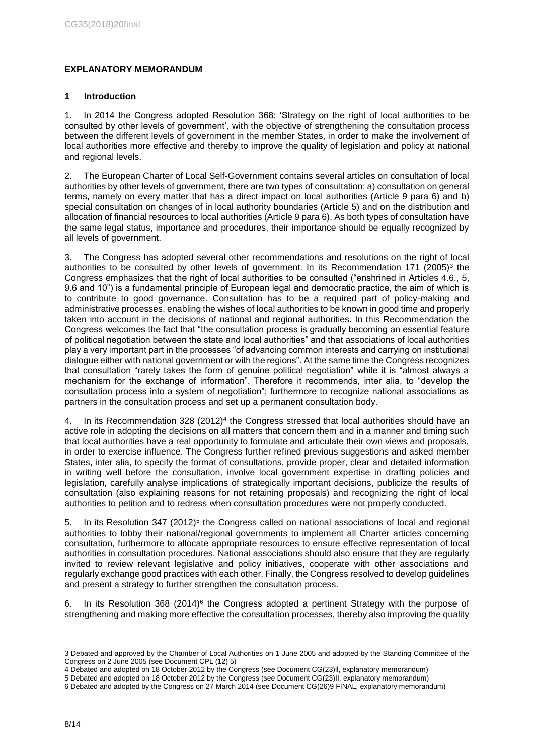# **EXPLANATORY MEMORANDUM**

# **1 Introduction**

1. In 2014 the Congress adopted Resolution 368: 'Strategy on the right of local authorities to be consulted by other levels of government', with the objective of strengthening the consultation process between the different levels of government in the member States, in order to make the involvement of local authorities more effective and thereby to improve the quality of legislation and policy at national and regional levels.

2. The European Charter of Local Self-Government contains several articles on consultation of local authorities by other levels of government, there are two types of consultation: a) consultation on general terms, namely on every matter that has a direct impact on local authorities (Article 9 para 6) and b) special consultation on changes of in local authority boundaries (Article 5) and on the distribution and allocation of financial resources to local authorities (Article 9 para 6). As both types of consultation have the same legal status, importance and procedures, their importance should be equally recognized by all levels of government.

3. The Congress has adopted several other recommendations and resolutions on the right of local authorities to be consulted by other levels of government. In its Recommendation 171 (2005)<sup>3</sup> the Congress emphasizes that the right of local authorities to be consulted ("enshrined in Articles 4.6., 5, 9.6 and 10") is a fundamental principle of European legal and democratic practice, the aim of which is to contribute to good governance. Consultation has to be a required part of policy-making and administrative processes, enabling the wishes of local authorities to be known in good time and properly taken into account in the decisions of national and regional authorities. In this Recommendation the Congress welcomes the fact that "the consultation process is gradually becoming an essential feature of political negotiation between the state and local authorities" and that associations of local authorities play a very important part in the processes "of advancing common interests and carrying on institutional dialogue either with national government or with the regions". At the same time the Congress recognizes that consultation "rarely takes the form of genuine political negotiation" while it is "almost always a mechanism for the exchange of information". Therefore it recommends, inter alia, to "develop the consultation process into a system of negotiation"; furthermore to recognize national associations as partners in the consultation process and set up a permanent consultation body.

4. In its Recommendation  $328 (2012)^4$  the Congress stressed that local authorities should have an active role in adopting the decisions on all matters that concern them and in a manner and timing such that local authorities have a real opportunity to formulate and articulate their own views and proposals, in order to exercise influence. The Congress further refined previous suggestions and asked member States, inter alia, to specify the format of consultations, provide proper, clear and detailed information in writing well before the consultation, involve local government expertise in drafting policies and legislation, carefully analyse implications of strategically important decisions, publicize the results of consultation (also explaining reasons for not retaining proposals) and recognizing the right of local authorities to petition and to redress when consultation procedures were not properly conducted.

5. In its Resolution 347 (2012)<sup>5</sup> the Congress called on national associations of local and regional authorities to lobby their national/regional governments to implement all Charter articles concerning consultation, furthermore to allocate appropriate resources to ensure effective representation of local authorities in consultation procedures. National associations should also ensure that they are regularly invited to review relevant legislative and policy initiatives, cooperate with other associations and regularly exchange good practices with each other. Finally, the Congress resolved to develop guidelines and present a strategy to further strengthen the consultation process.

6. In its Resolution 368  $(2014)^6$  the Congress adopted a pertinent Strategy with the purpose of strengthening and making more effective the consultation processes, thereby also improving the quality

-

<sup>3</sup> Debated and approved by the Chamber of Local Authorities on 1 June 2005 and adopted by the Standing Committee of the Congress on 2 June 2005 (see Document CPL (12) 5)

<sup>4</sup> Debated and adopted on 18 October 2012 by the Congress (see Document CG(23)ll, explanatory memorandum)

<sup>5</sup> Debated and adopted on 18 October 2012 by the Congress (see Document CG(23)II, explanatory memorandum)

<sup>6</sup> Debated and adopted by the Congress on 27 March 2014 (see Document CG(26)9 FINAL, explanatory memorandum)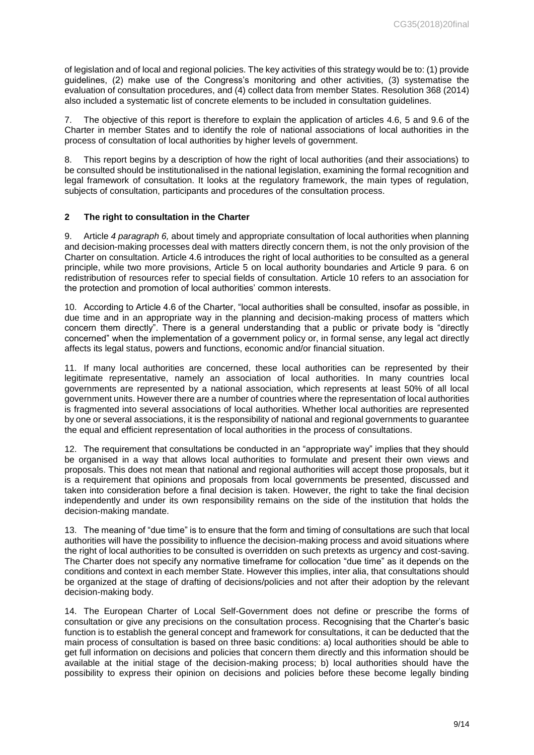of legislation and of local and regional policies. The key activities of this strategy would be to: (1) provide guidelines, (2) make use of the Congress's monitoring and other activities, (3) systematise the evaluation of consultation procedures, and (4) collect data from member States. Resolution 368 (2014) also included a systematic list of concrete elements to be included in consultation guidelines.

7. The objective of this report is therefore to explain the application of articles 4.6, 5 and 9.6 of the Charter in member States and to identify the role of national associations of local authorities in the process of consultation of local authorities by higher levels of government.

8. This report begins by a description of how the right of local authorities (and their associations) to be consulted should be institutionalised in the national legislation, examining the formal recognition and legal framework of consultation. It looks at the regulatory framework, the main types of regulation, subjects of consultation, participants and procedures of the consultation process.

## **2 The right to consultation in the Charter**

9. Article *4 paragraph 6,* about timely and appropriate consultation of local authorities when planning and decision-making processes deal with matters directly concern them, is not the only provision of the Charter on consultation. Article 4.6 introduces the right of local authorities to be consulted as a general principle, while two more provisions, Article 5 on local authority boundaries and Article 9 para. 6 on redistribution of resources refer to special fields of consultation. Article 10 refers to an association for the protection and promotion of local authorities' common interests.

10. According to Article 4.6 of the Charter, "local authorities shall be consulted, insofar as possible, in due time and in an appropriate way in the planning and decision-making process of matters which concern them directly". There is a general understanding that a public or private body is "directly concerned" when the implementation of a government policy or, in formal sense, any legal act directly affects its legal status, powers and functions, economic and/or financial situation.

11. If many local authorities are concerned, these local authorities can be represented by their legitimate representative, namely an association of local authorities. In many countries local governments are represented by a national association, which represents at least 50% of all local government units. However there are a number of countries where the representation of local authorities is fragmented into several associations of local authorities. Whether local authorities are represented by one or several associations, it is the responsibility of national and regional governments to guarantee the equal and efficient representation of local authorities in the process of consultations.

12. The requirement that consultations be conducted in an "appropriate way" implies that they should be organised in a way that allows local authorities to formulate and present their own views and proposals. This does not mean that national and regional authorities will accept those proposals, but it is a requirement that opinions and proposals from local governments be presented, discussed and taken into consideration before a final decision is taken. However, the right to take the final decision independently and under its own responsibility remains on the side of the institution that holds the decision-making mandate.

13. The meaning of "due time" is to ensure that the form and timing of consultations are such that local authorities will have the possibility to influence the decision-making process and avoid situations where the right of local authorities to be consulted is overridden on such pretexts as urgency and cost-saving. The Charter does not specify any normative timeframe for collocation "due time" as it depends on the conditions and context in each member State. However this implies, inter alia, that consultations should be organized at the stage of drafting of decisions/policies and not after their adoption by the relevant decision-making body.

14. The European Charter of Local Self-Government does not define or prescribe the forms of consultation or give any precisions on the consultation process. Recognising that the Charter's basic function is to establish the general concept and framework for consultations, it can be deducted that the main process of consultation is based on three basic conditions: a) local authorities should be able to get full information on decisions and policies that concern them directly and this information should be available at the initial stage of the decision-making process; b) local authorities should have the possibility to express their opinion on decisions and policies before these become legally binding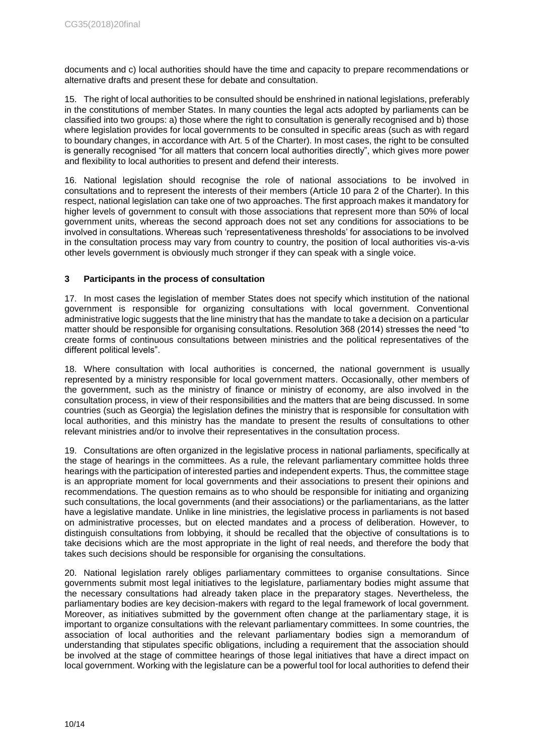documents and c) local authorities should have the time and capacity to prepare recommendations or alternative drafts and present these for debate and consultation.

15. The right of local authorities to be consulted should be enshrined in national legislations, preferably in the constitutions of member States. In many counties the legal acts adopted by parliaments can be classified into two groups: a) those where the right to consultation is generally recognised and b) those where legislation provides for local governments to be consulted in specific areas (such as with regard to boundary changes, in accordance with Art. 5 of the Charter). In most cases, the right to be consulted is generally recognised "for all matters that concern local authorities directly", which gives more power and flexibility to local authorities to present and defend their interests.

16. National legislation should recognise the role of national associations to be involved in consultations and to represent the interests of their members (Article 10 para 2 of the Charter). In this respect, national legislation can take one of two approaches. The first approach makes it mandatory for higher levels of government to consult with those associations that represent more than 50% of local government units, whereas the second approach does not set any conditions for associations to be involved in consultations. Whereas such 'representativeness thresholds' for associations to be involved in the consultation process may vary from country to country, the position of local authorities vis-a-vis other levels government is obviously much stronger if they can speak with a single voice.

## **3 Participants in the process of consultation**

17. In most cases the legislation of member States does not specify which institution of the national government is responsible for organizing consultations with local government. Conventional administrative logic suggests that the line ministry that has the mandate to take a decision on a particular matter should be responsible for organising consultations. Resolution 368 (2014) stresses the need "to create forms of continuous consultations between ministries and the political representatives of the different political levels".

18. Where consultation with local authorities is concerned, the national government is usually represented by a ministry responsible for local government matters. Occasionally, other members of the government, such as the ministry of finance or ministry of economy, are also involved in the consultation process, in view of their responsibilities and the matters that are being discussed. In some countries (such as Georgia) the legislation defines the ministry that is responsible for consultation with local authorities, and this ministry has the mandate to present the results of consultations to other relevant ministries and/or to involve their representatives in the consultation process.

19. Consultations are often organized in the legislative process in national parliaments, specifically at the stage of hearings in the committees. As a rule, the relevant parliamentary committee holds three hearings with the participation of interested parties and independent experts. Thus, the committee stage is an appropriate moment for local governments and their associations to present their opinions and recommendations. The question remains as to who should be responsible for initiating and organizing such consultations, the local governments (and their associations) or the parliamentarians, as the latter have a legislative mandate. Unlike in line ministries, the legislative process in parliaments is not based on administrative processes, but on elected mandates and a process of deliberation. However, to distinguish consultations from lobbying, it should be recalled that the objective of consultations is to take decisions which are the most appropriate in the light of real needs, and therefore the body that takes such decisions should be responsible for organising the consultations.

20. National legislation rarely obliges parliamentary committees to organise consultations. Since governments submit most legal initiatives to the legislature, parliamentary bodies might assume that the necessary consultations had already taken place in the preparatory stages. Nevertheless, the parliamentary bodies are key decision-makers with regard to the legal framework of local government. Moreover, as initiatives submitted by the government often change at the parliamentary stage, it is important to organize consultations with the relevant parliamentary committees. In some countries, the association of local authorities and the relevant parliamentary bodies sign a memorandum of understanding that stipulates specific obligations, including a requirement that the association should be involved at the stage of committee hearings of those legal initiatives that have a direct impact on local government. Working with the legislature can be a powerful tool for local authorities to defend their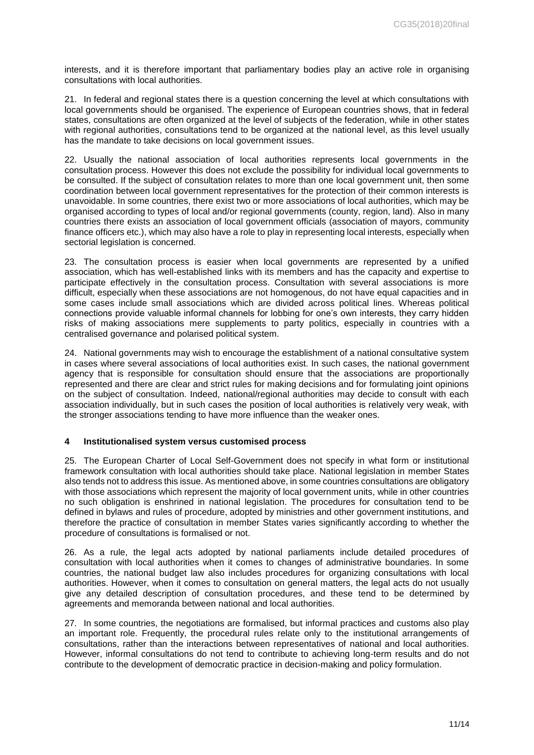interests, and it is therefore important that parliamentary bodies play an active role in organising consultations with local authorities.

21. In federal and regional states there is a question concerning the level at which consultations with local governments should be organised. The experience of European countries shows, that in federal states, consultations are often organized at the level of subjects of the federation, while in other states with regional authorities, consultations tend to be organized at the national level, as this level usually has the mandate to take decisions on local government issues.

22. Usually the national association of local authorities represents local governments in the consultation process. However this does not exclude the possibility for individual local governments to be consulted. If the subject of consultation relates to more than one local government unit, then some coordination between local government representatives for the protection of their common interests is unavoidable. In some countries, there exist two or more associations of local authorities, which may be organised according to types of local and/or regional governments (county, region, land). Also in many countries there exists an association of local government officials (association of mayors, community finance officers etc.), which may also have a role to play in representing local interests, especially when sectorial legislation is concerned.

23. The consultation process is easier when local governments are represented by a unified association, which has well-established links with its members and has the capacity and expertise to participate effectively in the consultation process. Consultation with several associations is more difficult, especially when these associations are not homogenous, do not have equal capacities and in some cases include small associations which are divided across political lines. Whereas political connections provide valuable informal channels for lobbing for one's own interests, they carry hidden risks of making associations mere supplements to party politics, especially in countries with a centralised governance and polarised political system.

24. National governments may wish to encourage the establishment of a national consultative system in cases where several associations of local authorities exist. In such cases, the national government agency that is responsible for consultation should ensure that the associations are proportionally represented and there are clear and strict rules for making decisions and for formulating joint opinions on the subject of consultation. Indeed, national/regional authorities may decide to consult with each association individually, but in such cases the position of local authorities is relatively very weak, with the stronger associations tending to have more influence than the weaker ones.

#### **4 Institutionalised system versus customised process**

25. The European Charter of Local Self-Government does not specify in what form or institutional framework consultation with local authorities should take place. National legislation in member States also tends not to address this issue. As mentioned above, in some countries consultations are obligatory with those associations which represent the majority of local government units, while in other countries no such obligation is enshrined in national legislation. The procedures for consultation tend to be defined in bylaws and rules of procedure, adopted by ministries and other government institutions, and therefore the practice of consultation in member States varies significantly according to whether the procedure of consultations is formalised or not.

26. As a rule, the legal acts adopted by national parliaments include detailed procedures of consultation with local authorities when it comes to changes of administrative boundaries. In some countries, the national budget law also includes procedures for organizing consultations with local authorities. However, when it comes to consultation on general matters, the legal acts do not usually give any detailed description of consultation procedures, and these tend to be determined by agreements and memoranda between national and local authorities.

27. In some countries, the negotiations are formalised, but informal practices and customs also play an important role. Frequently, the procedural rules relate only to the institutional arrangements of consultations, rather than the interactions between representatives of national and local authorities. However, informal consultations do not tend to contribute to achieving long-term results and do not contribute to the development of democratic practice in decision-making and policy formulation.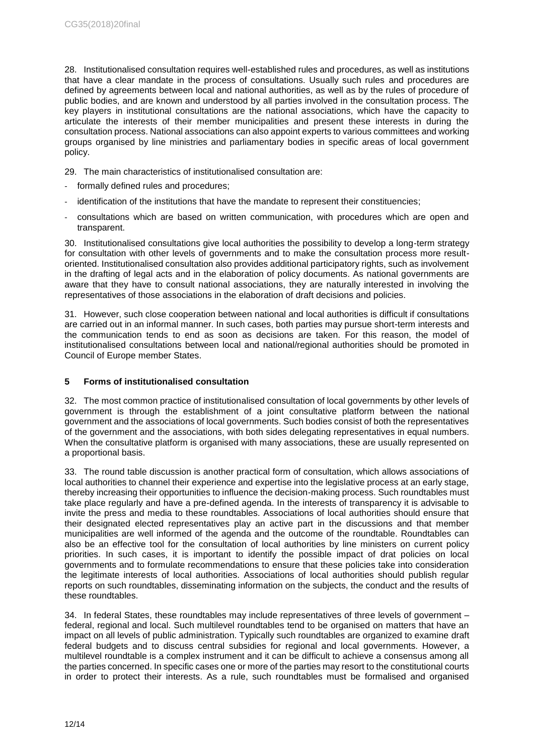28. Institutionalised consultation requires well-established rules and procedures, as well as institutions that have a clear mandate in the process of consultations. Usually such rules and procedures are defined by agreements between local and national authorities, as well as by the rules of procedure of public bodies, and are known and understood by all parties involved in the consultation process. The key players in institutional consultations are the national associations, which have the capacity to articulate the interests of their member municipalities and present these interests in during the consultation process. National associations can also appoint experts to various committees and working groups organised by line ministries and parliamentary bodies in specific areas of local government policy.

29. The main characteristics of institutionalised consultation are:

- formally defined rules and procedures;
- identification of the institutions that have the mandate to represent their constituencies:
- consultations which are based on written communication, with procedures which are open and transparent.

30. Institutionalised consultations give local authorities the possibility to develop a long-term strategy for consultation with other levels of governments and to make the consultation process more resultoriented. Institutionalised consultation also provides additional participatory rights, such as involvement in the drafting of legal acts and in the elaboration of policy documents. As national governments are aware that they have to consult national associations, they are naturally interested in involving the representatives of those associations in the elaboration of draft decisions and policies.

31. However, such close cooperation between national and local authorities is difficult if consultations are carried out in an informal manner. In such cases, both parties may pursue short-term interests and the communication tends to end as soon as decisions are taken. For this reason, the model of institutionalised consultations between local and national/regional authorities should be promoted in Council of Europe member States.

## **5 Forms of institutionalised consultation**

32. The most common practice of institutionalised consultation of local governments by other levels of government is through the establishment of a joint consultative platform between the national government and the associations of local governments. Such bodies consist of both the representatives of the government and the associations, with both sides delegating representatives in equal numbers. When the consultative platform is organised with many associations, these are usually represented on a proportional basis.

33. The round table discussion is another practical form of consultation, which allows associations of local authorities to channel their experience and expertise into the legislative process at an early stage, thereby increasing their opportunities to influence the decision-making process. Such roundtables must take place regularly and have a pre-defined agenda. In the interests of transparency it is advisable to invite the press and media to these roundtables. Associations of local authorities should ensure that their designated elected representatives play an active part in the discussions and that member municipalities are well informed of the agenda and the outcome of the roundtable. Roundtables can also be an effective tool for the consultation of local authorities by line ministers on current policy priorities. In such cases, it is important to identify the possible impact of drat policies on local governments and to formulate recommendations to ensure that these policies take into consideration the legitimate interests of local authorities. Associations of local authorities should publish regular reports on such roundtables, disseminating information on the subjects, the conduct and the results of these roundtables.

34. In federal States, these roundtables may include representatives of three levels of government – federal, regional and local. Such multilevel roundtables tend to be organised on matters that have an impact on all levels of public administration. Typically such roundtables are organized to examine draft federal budgets and to discuss central subsidies for regional and local governments. However, a multilevel roundtable is a complex instrument and it can be difficult to achieve a consensus among all the parties concerned. In specific cases one or more of the parties may resort to the constitutional courts in order to protect their interests. As a rule, such roundtables must be formalised and organised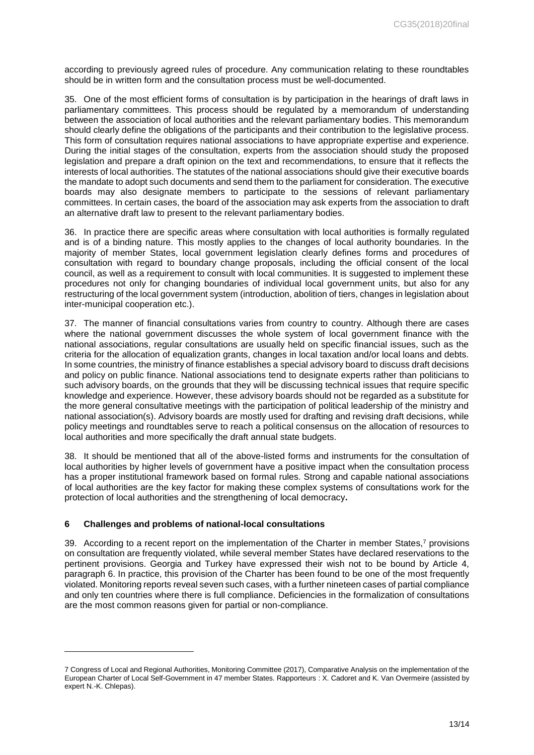according to previously agreed rules of procedure. Any communication relating to these roundtables should be in written form and the consultation process must be well-documented.

35. One of the most efficient forms of consultation is by participation in the hearings of draft laws in parliamentary committees. This process should be regulated by a memorandum of understanding between the association of local authorities and the relevant parliamentary bodies. This memorandum should clearly define the obligations of the participants and their contribution to the legislative process. This form of consultation requires national associations to have appropriate expertise and experience. During the initial stages of the consultation, experts from the association should study the proposed legislation and prepare a draft opinion on the text and recommendations, to ensure that it reflects the interests of local authorities. The statutes of the national associations should give their executive boards the mandate to adopt such documents and send them to the parliament for consideration. The executive boards may also designate members to participate to the sessions of relevant parliamentary committees. In certain cases, the board of the association may ask experts from the association to draft an alternative draft law to present to the relevant parliamentary bodies.

36. In practice there are specific areas where consultation with local authorities is formally regulated and is of a binding nature. This mostly applies to the changes of local authority boundaries. In the majority of member States, local government legislation clearly defines forms and procedures of consultation with regard to boundary change proposals, including the official consent of the local council, as well as a requirement to consult with local communities. It is suggested to implement these procedures not only for changing boundaries of individual local government units, but also for any restructuring of the local government system (introduction, abolition of tiers, changes in legislation about inter-municipal cooperation etc.).

37. The manner of financial consultations varies from country to country. Although there are cases where the national government discusses the whole system of local government finance with the national associations, regular consultations are usually held on specific financial issues, such as the criteria for the allocation of equalization grants, changes in local taxation and/or local loans and debts. In some countries, the ministry of finance establishes a special advisory board to discuss draft decisions and policy on public finance. National associations tend to designate experts rather than politicians to such advisory boards, on the grounds that they will be discussing technical issues that require specific knowledge and experience. However, these advisory boards should not be regarded as a substitute for the more general consultative meetings with the participation of political leadership of the ministry and national association(s). Advisory boards are mostly used for drafting and revising draft decisions, while policy meetings and roundtables serve to reach a political consensus on the allocation of resources to local authorities and more specifically the draft annual state budgets.

38. It should be mentioned that all of the above-listed forms and instruments for the consultation of local authorities by higher levels of government have a positive impact when the consultation process has a proper institutional framework based on formal rules. Strong and capable national associations of local authorities are the key factor for making these complex systems of consultations work for the protection of local authorities and the strengthening of local democracy**.**

## **6 Challenges and problems of national-local consultations**

-

39. According to a recent report on the implementation of the Charter in member States, <sup>7</sup> provisions on consultation are frequently violated, while several member States have declared reservations to the pertinent provisions. Georgia and Turkey have expressed their wish not to be bound by Article 4, paragraph 6. In practice, this provision of the Charter has been found to be one of the most frequently violated. Monitoring reports reveal seven such cases, with a further nineteen cases of partial compliance and only ten countries where there is full compliance. Deficiencies in the formalization of consultations are the most common reasons given for partial or non-compliance.

<sup>7</sup> Congress of Local and Regional Authorities, Monitoring Committee (2017), Comparative Analysis on the implementation of the European Charter of Local Self-Government in 47 member States. Rapporteurs : X. Cadoret and K. Van Overmeire (assisted by expert N.-K. Chlepas).